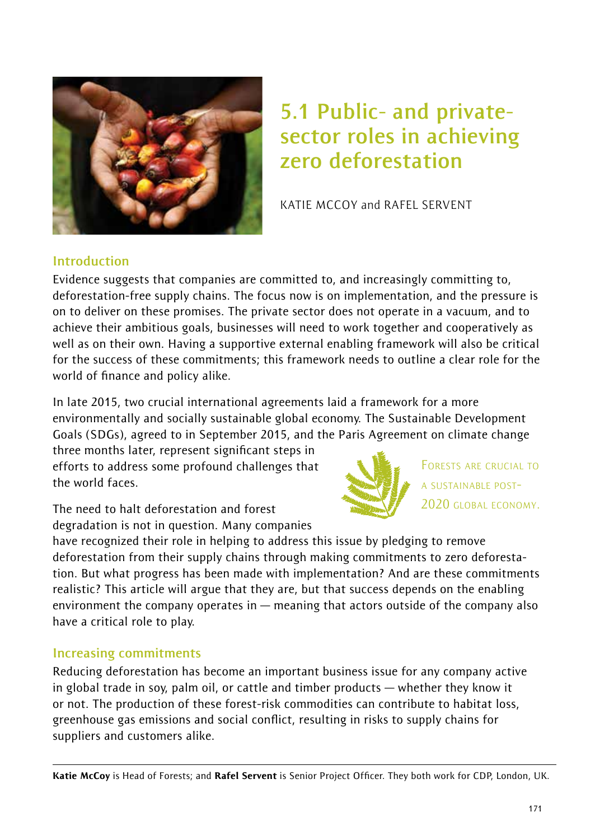

# **5.1 Public- and privatesector roles in achieving zero deforestation**

KATIE MCCOY and RAFEL SERVENT

#### **Introduction**

Evidence suggests that companies are committed to, and increasingly committing to, deforestation-free supply chains. The focus now is on implementation, and the pressure is on to deliver on these promises. The private sector does not operate in a vacuum, and to achieve their ambitious goals, businesses will need to work together and cooperatively as well as on their own. Having a supportive external enabling framework will also be critical for the success of these commitments; this framework needs to outline a clear role for the world of finance and policy alike.

In late 2015, two crucial international agreements laid a framework for a more environmentally and socially sustainable global economy. The Sustainable Development Goals (SDGs), agreed to in September 2015, and the Paris Agreement on climate change

three months later, represent significant steps in efforts to address some profound challenges that the world faces.

The need to halt deforestation and forest degradation is not in question. Many companies



FORESTS ARE CRUCIAL TO A SUSTAINABLE POST-2020 GLOBAL ECONOMY.

have recognized their role in helping to address this issue by pledging to remove deforestation from their supply chains through making commitments to zero deforestation. But what progress has been made with implementation? And are these commitments realistic? This article will argue that they are, but that success depends on the enabling environment the company operates in — meaning that actors outside of the company also have a critical role to play.

#### **Increasing commitments**

Reducing deforestation has become an important business issue for any company active in global trade in soy, palm oil, or cattle and timber products — whether they know it or not. The production of these forest-risk commodities can contribute to habitat loss, greenhouse gas emissions and social conflict, resulting in risks to supply chains for suppliers and customers alike.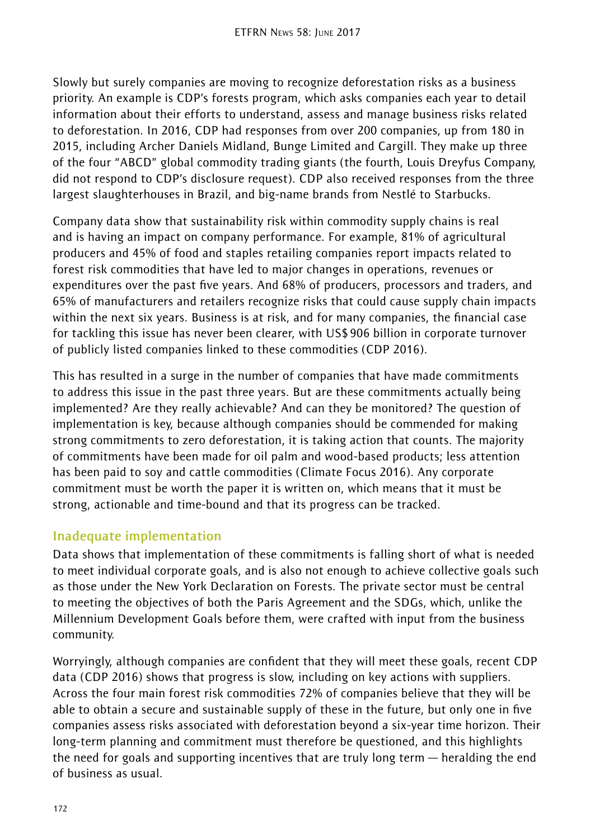Slowly but surely companies are moving to recognize deforestation risks as a business priority. An example is CDP's forests program, which asks companies each year to detail information about their efforts to understand, assess and manage business risks related to deforestation. In 2016, CDP had responses from over 200 companies, up from 180 in 2015, including Archer Daniels Midland, Bunge Limited and Cargill. They make up three of the four "ABCD" global commodity trading giants (the fourth, Louis Dreyfus Company, did not respond to CDP's disclosure request). CDP also received responses from the three largest slaughterhouses in Brazil, and big-name brands from Nestlé to Starbucks.

Company data show that sustainability risk within commodity supply chains is real and is having an impact on company performance. For example, 81% of agricultural producers and 45% of food and staples retailing companies report impacts related to forest risk commodities that have led to major changes in operations, revenues or expenditures over the past five years. And 68% of producers, processors and traders, and 65% of manufacturers and retailers recognize risks that could cause supply chain impacts within the next six years. Business is at risk, and for many companies, the financial case for tackling this issue has never been clearer, with US\$906 billion in corporate turnover of publicly listed companies linked to these commodities (CDP 2016).

This has resulted in a surge in the number of companies that have made commitments to address this issue in the past three years. But are these commitments actually being implemented? Are they really achievable? And can they be monitored? The question of implementation is key, because although companies should be commended for making strong commitments to zero deforestation, it is taking action that counts. The majority of commitments have been made for oil palm and wood-based products; less attention has been paid to soy and cattle commodities (Climate Focus 2016). Any corporate commitment must be worth the paper it is written on, which means that it must be strong, actionable and time-bound and that its progress can be tracked.

#### **Inadequate implementation**

Data shows that implementation of these commitments is falling short of what is needed to meet individual corporate goals, and is also not enough to achieve collective goals such as those under the New York Declaration on Forests. The private sector must be central to meeting the objectives of both the Paris Agreement and the SDGs, which, unlike the Millennium Development Goals before them, were crafted with input from the business community.

Worryingly, although companies are confident that they will meet these goals, recent CDP data (CDP 2016) shows that progress is slow, including on key actions with suppliers. Across the four main forest risk commodities 72% of companies believe that they will be able to obtain a secure and sustainable supply of these in the future, but only one in five companies assess risks associated with deforestation beyond a six-year time horizon. Their long-term planning and commitment must therefore be questioned, and this highlights the need for goals and supporting incentives that are truly long term — heralding the end of business as usual.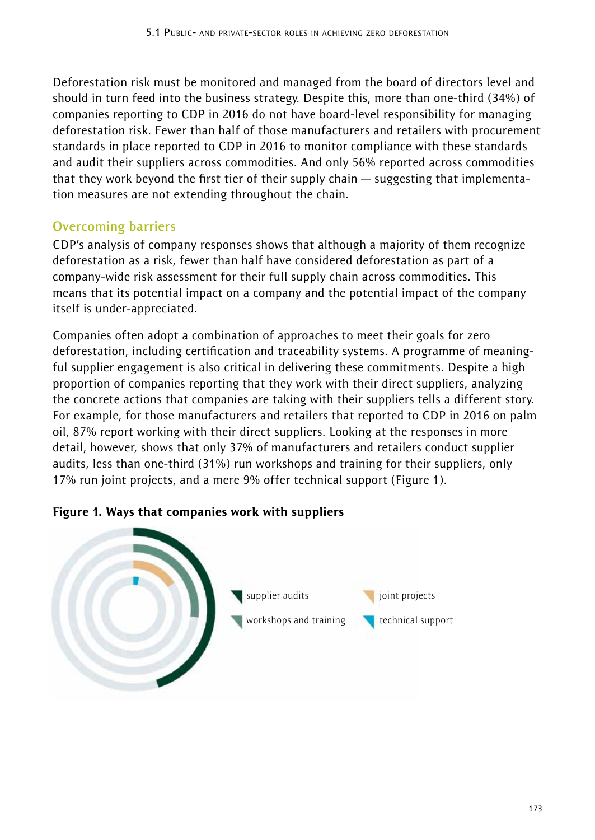Deforestation risk must be monitored and managed from the board of directors level and should in turn feed into the business strategy. Despite this, more than one-third (34%) of companies reporting to CDP in 2016 do not have board-level responsibility for managing deforestation risk. Fewer than half of those manufacturers and retailers with procurement standards in place reported to CDP in 2016 to monitor compliance with these standards and audit their suppliers across commodities. And only 56% reported across commodities that they work beyond the first tier of their supply chain — suggesting that implementation measures are not extending throughout the chain.

#### **Overcoming barriers**

CDP's analysis of company responses shows that although a majority of them recognize deforestation as a risk, fewer than half have considered deforestation as part of a company-wide risk assessment for their full supply chain across commodities. This means that its potential impact on a company and the potential impact of the company itself is under-appreciated.

Companies often adopt a combination of approaches to meet their goals for zero deforestation, including certification and traceability systems. A programme of meaningful supplier engagement is also critical in delivering these commitments. Despite a high proportion of companies reporting that they work with their direct suppliers, analyzing the concrete actions that companies are taking with their suppliers tells a different story. For example, for those manufacturers and retailers that reported to CDP in 2016 on palm oil, 87% report working with their direct suppliers. Looking at the responses in more detail, however, shows that only 37% of manufacturers and retailers conduct supplier audits, less than one-third (31%) run workshops and training for their suppliers, only 17% run joint projects, and a mere 9% offer technical support (Figure 1).



#### Figure 1. Ways that companies work with suppliers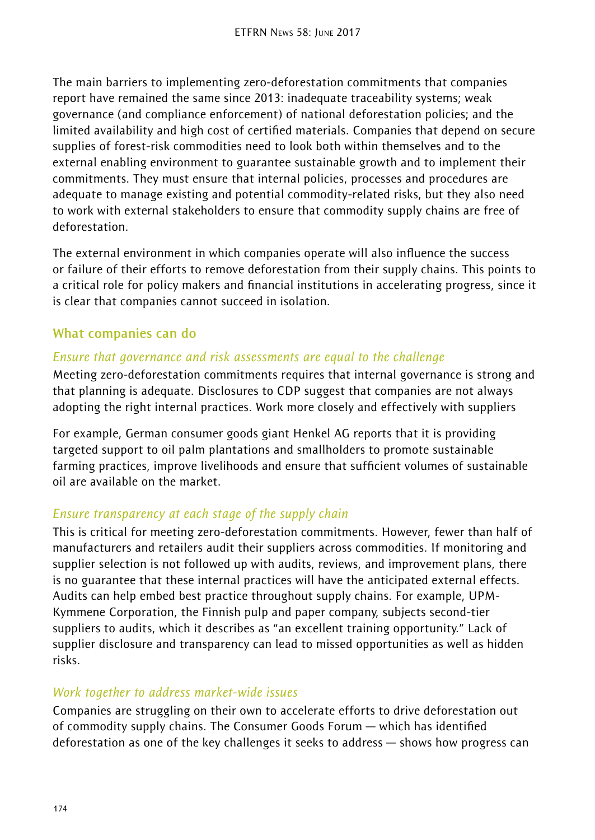The main barriers to implementing zero-deforestation commitments that companies report have remained the same since 2013: inadequate traceability systems; weak governance (and compliance enforcement) of national deforestation policies; and the limited availability and high cost of certified materials. Companies that depend on secure supplies of forest-risk commodities need to look both within themselves and to the external enabling environment to guarantee sustainable growth and to implement their commitments. They must ensure that internal policies, processes and procedures are adequate to manage existing and potential commodity-related risks, but they also need to work with external stakeholders to ensure that commodity supply chains are free of deforestation.

The external environment in which companies operate will also influence the success or failure of their efforts to remove deforestation from their supply chains. This points to a critical role for policy makers and financial institutions in accelerating progress, since it is clear that companies cannot succeed in isolation.

#### **What companies can do**

#### *Ensure that governance and risk assessments are equal to the challenge*

Meeting zero-deforestation commitments requires that internal governance is strong and that planning is adequate. Disclosures to CDP suggest that companies are not always adopting the right internal practices. Work more closely and effectively with suppliers

For example, German consumer goods giant Henkel AG reports that it is providing targeted support to oil palm plantations and smallholders to promote sustainable farming practices, improve livelihoods and ensure that sufficient volumes of sustainable oil are available on the market.

#### *Ensure transparency at each stage of the supply chain*

This is critical for meeting zero-deforestation commitments. However, fewer than half of manufacturers and retailers audit their suppliers across commodities. If monitoring and supplier selection is not followed up with audits, reviews, and improvement plans, there is no guarantee that these internal practices will have the anticipated external effects. Audits can help embed best practice throughout supply chains. For example, UPM-Kymmene Corporation, the Finnish pulp and paper company, subjects second-tier suppliers to audits, which it describes as "an excellent training opportunity." Lack of supplier disclosure and transparency can lead to missed opportunities as well as hidden risks.

#### *Work together to address market-wide issues*

Companies are struggling on their own to accelerate efforts to drive deforestation out of commodity supply chains. The Consumer Goods Forum — which has identified deforestation as one of the key challenges it seeks to address — shows how progress can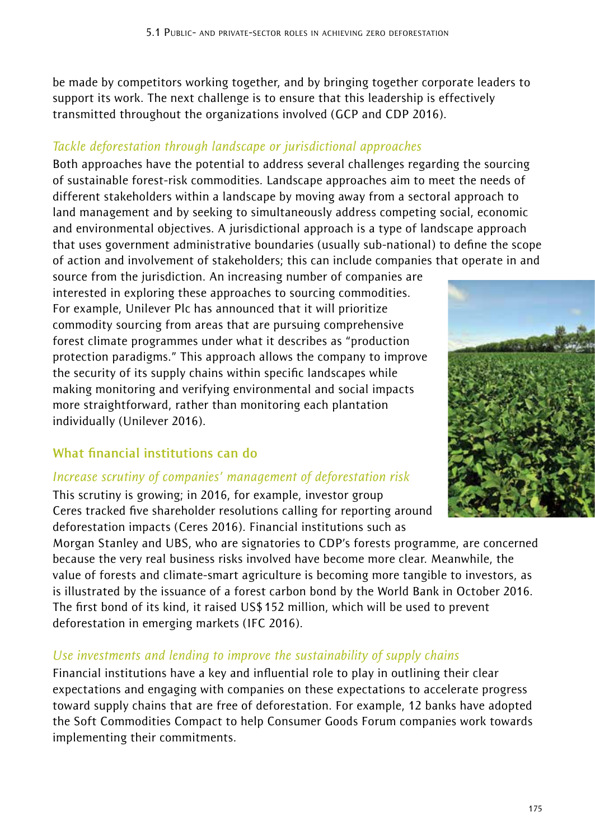be made by competitors working together, and by bringing together corporate leaders to support its work. The next challenge is to ensure that this leadership is effectively transmitted throughout the organizations involved (GCP and CDP 2016).

#### *Tackle deforestation through landscape or jurisdictional approaches*

Both approaches have the potential to address several challenges regarding the sourcing of sustainable forest-risk commodities. Landscape approaches aim to meet the needs of different stakeholders within a landscape by moving away from a sectoral approach to land management and by seeking to simultaneously address competing social, economic and environmental objectives. A jurisdictional approach is a type of landscape approach that uses government administrative boundaries (usually sub-national) to define the scope of action and involvement of stakeholders; this can include companies that operate in and

source from the jurisdiction. An increasing number of companies are interested in exploring these approaches to sourcing commodities. For example, Unilever Plc has announced that it will prioritize commodity sourcing from areas that are pursuing comprehensive forest climate programmes under what it describes as "production protection paradigms." This approach allows the company to improve the security of its supply chains within specific landscapes while making monitoring and verifying environmental and social impacts more straightforward, rather than monitoring each plantation individually (Unilever 2016).

## **What financial institutions can do**

#### *Increase scrutiny of companies' management of deforestation risk*

This scrutiny is growing; in 2016, for example, investor group Ceres tracked five shareholder resolutions calling for reporting around deforestation impacts (Ceres 2016). Financial institutions such as

Morgan Stanley and UBS, who are signatories to CDP's forests programme, are concerned because the very real business risks involved have become more clear. Meanwhile, the value of forests and climate-smart agriculture is becoming more tangible to investors, as is illustrated by the issuance of a forest carbon bond by the World Bank in October 2016. The first bond of its kind, it raised US\$152 million, which will be used to prevent deforestation in emerging markets (IFC 2016).

#### *Use investments and lending to improve the sustainability of supply chains*

Financial institutions have a key and influential role to play in outlining their clear expectations and engaging with companies on these expectations to accelerate progress toward supply chains that are free of deforestation. For example, 12 banks have adopted the Soft Commodities Compact to help Consumer Goods Forum companies work towards implementing their commitments.

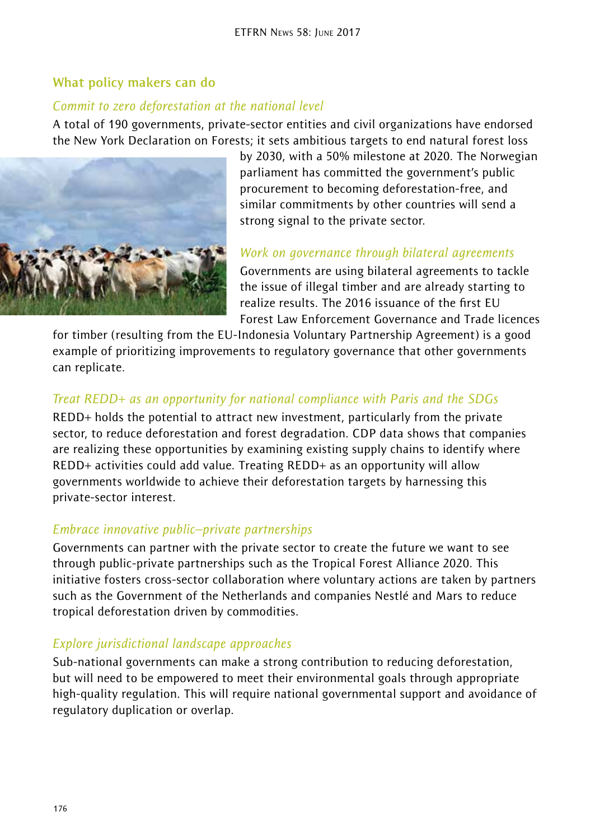#### **What policy makers can do**

#### *Commit to zero deforestation at the national level*

A total of 190 governments, private-sector entities and civil organizations have endorsed the New York Declaration on Forests; it sets ambitious targets to end natural forest loss



by 2030, with a 50% milestone at 2020. The Norwegian parliament has committed the government's public procurement to becoming deforestation-free, and similar commitments by other countries will send a strong signal to the private sector.

#### *Work on governance through bilateral agreements*

Governments are using bilateral agreements to tackle the issue of illegal timber and are already starting to realize results. The 2016 issuance of the first EU Forest Law Enforcement Governance and Trade licences

for timber (resulting from the EU-Indonesia Voluntary Partnership Agreement) is a good example of prioritizing improvements to regulatory governance that other governments can replicate.

### *Treat REDD+ as an opportunity for national compliance with Paris and the SDGs*

REDD+ holds the potential to attract new investment, particularly from the private sector, to reduce deforestation and forest degradation. CDP data shows that companies are realizing these opportunities by examining existing supply chains to identify where REDD+ activities could add value. Treating REDD+ as an opportunity will allow governments worldwide to achieve their deforestation targets by harnessing this private-sector interest.

#### *Embrace innovative public–private partnerships*

Governments can partner with the private sector to create the future we want to see through public-private partnerships such as the Tropical Forest Alliance 2020. This initiative fosters cross-sector collaboration where voluntary actions are taken by partners such as the Government of the Netherlands and companies Nestlé and Mars to reduce tropical deforestation driven by commodities.

#### *Explore jurisdictional landscape approaches*

Sub-national governments can make a strong contribution to reducing deforestation, but will need to be empowered to meet their environmental goals through appropriate high-quality regulation. This will require national governmental support and avoidance of regulatory duplication or overlap.